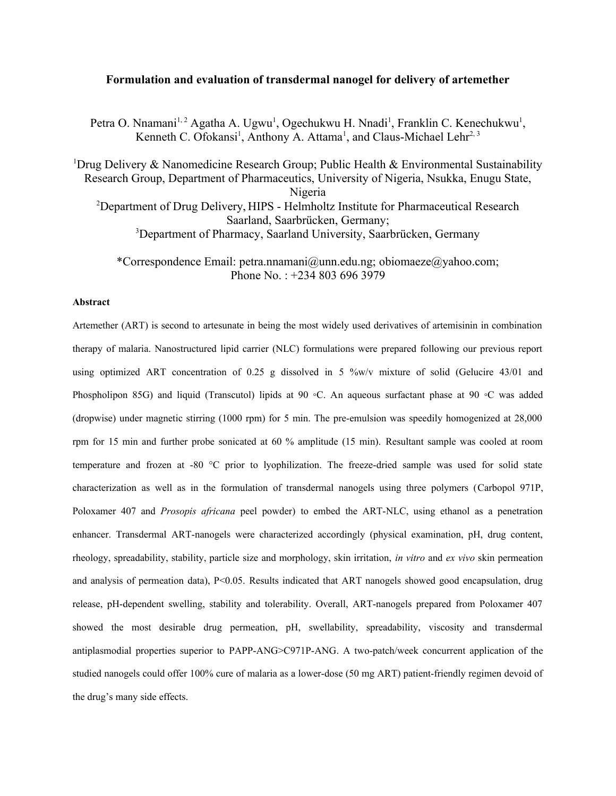# **Formulation and evaluation of transdermal nanogel for delivery of artemether**

Petra O. Nnamani<sup>1,2</sup> Agatha A. Ugwu<sup>1</sup>, Ogechukwu H. Nnadi<sup>1</sup>, Franklin C. Kenechukwu<sup>1</sup>, Kenneth C. Ofokansi<sup>1</sup>, Anthony A. Attama<sup>1</sup>, and Claus-Michael Lehr<sup>2, 3</sup>

<sup>1</sup>Drug Delivery & Nanomedicine Research Group; Public Health & Environmental Sustainability Research Group, Department of Pharmaceutics, University of Nigeria, Nsukka, Enugu State, Nigeria <sup>2</sup>Department of Drug Delivery, HIPS - Helmholtz Institute for Pharmaceutical Research Saarland, Saarbrücken, Germany; <sup>3</sup>Department of Pharmacy, Saarland University, Saarbrücken, Germany

\*Correspondence Email: petra.nnamani@unn.edu.ng; obiomaeze@yahoo.com; Phone No. : +234 803 696 3979

# **Abstract**

Artemether (ART) is second to artesunate in being the most widely used derivatives of artemisinin in combination therapy of malaria. Nanostructured lipid carrier (NLC) formulations were prepared following our previous report using optimized ART concentration of 0.25 g dissolved in 5 %w/v mixture of solid (Gelucire 43/01 and Phospholipon 85G) and liquid (Transcutol) lipids at 90 ◦C. An aqueous surfactant phase at 90 ◦C was added (dropwise) under magnetic stirring (1000 rpm) for 5 min. The pre-emulsion was speedily homogenized at 28,000 rpm for 15 min and further probe sonicated at 60 % amplitude (15 min). Resultant sample was cooled at room temperature and frozen at -80 °C prior to lyophilization. The freeze-dried sample was used for solid state characterization as well as in the formulation of transdermal nanogels using three polymers (Carbopol 971P, Poloxamer 407 and *Prosopis africana* peel powder) to embed the ART-NLC, using ethanol as a penetration enhancer. Transdermal ART-nanogels were characterized accordingly (physical examination, pH, drug content, rheology, spreadability, stability, particle size and morphology, skin irritation, *in vitro* and *ex vivo* skin permeation and analysis of permeation data), P<0.05. Results indicated that ART nanogels showed good encapsulation, drug release, pH-dependent swelling, stability and tolerability. Overall, ART-nanogels prepared from Poloxamer 407 showed the most desirable drug permeation, pH, swellability, spreadability, viscosity and transdermal antiplasmodial properties superior to PAPP-ANG>C971P-ANG. A two-patch/week concurrent application of the studied nanogels could offer 100% cure of malaria as a lower-dose (50 mg ART) patient-friendly regimen devoid of the drug's many side effects.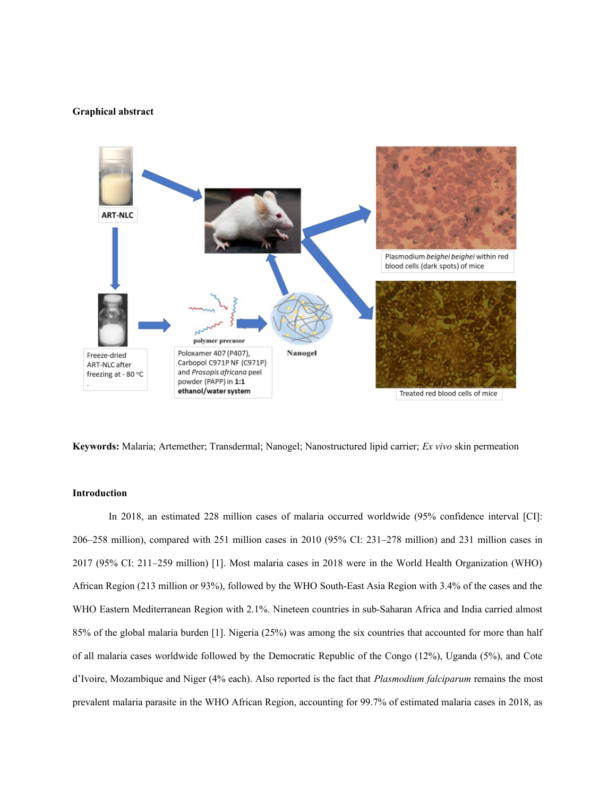#### **Graphical abstract**



**Keywords:** Malaria; Artemether; Transdermal; Nanogel; Nanostructured lipid carrier; *Ex vivo* skin permeation

### **Introduction**

In 2018, an estimated 228 million cases of malaria occurred worldwide (95% confidence interval [CI]: 206–258 million), compared with 251 million cases in 2010 (95% CI: 231–278 million) and 231 million cases in 2017 (95% CI: 211–259 million) [1]. Most malaria cases in 2018 were in the World Health Organization (WHO) African Region (213 million or 93%), followed by the WHO South-East Asia Region with 3.4% of the cases and the WHO Eastern Mediterranean Region with 2.1%. Nineteen countries in sub-Saharan Africa and India carried almost 85% of the global malaria burden [1]. Nigeria (25%) was among the six countries that accounted for more than half of all malaria cases worldwide followed by the Democratic Republic of the Congo (12%), Uganda (5%), and Cote d'Ivoire, Mozambique and Niger (4% each). Also reported is the fact that *Plasmodium falciparum* remains the most prevalent malaria parasite in the WHO African Region, accounting for 99.7% of estimated malaria cases in 2018, as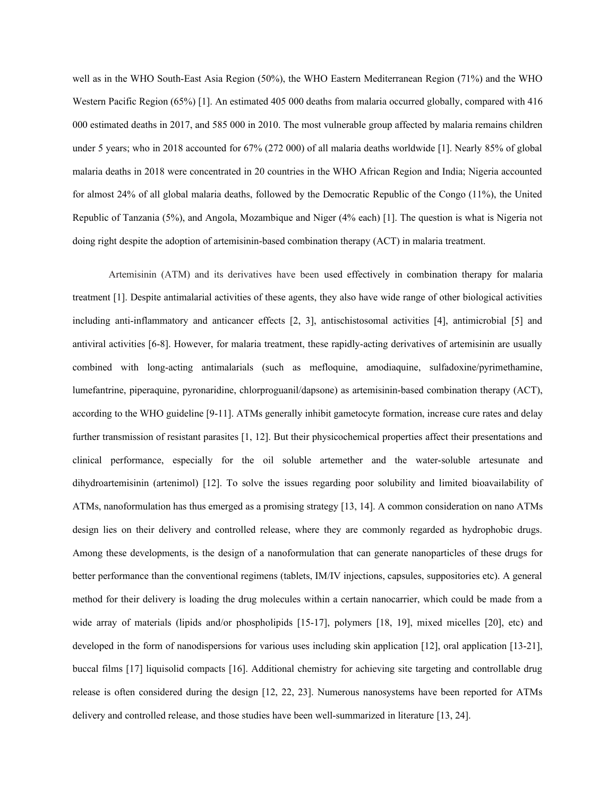well as in the WHO South-East Asia Region (50%), the WHO Eastern Mediterranean Region (71%) and the WHO Western Pacific Region (65%) [1]. An estimated 405 000 deaths from malaria occurred globally, compared with 416 000 estimated deaths in 2017, and 585 000 in 2010. The most vulnerable group affected by malaria remains children under 5 years; who in 2018 accounted for 67% (272 000) of all malaria deaths worldwide [1]. Nearly 85% of global malaria deaths in 2018 were concentrated in 20 countries in the WHO African Region and India; Nigeria accounted for almost 24% of all global malaria deaths, followed by the Democratic Republic of the Congo (11%), the United Republic of Tanzania (5%), and Angola, Mozambique and Niger (4% each) [1]. The question is what is Nigeria not doing right despite the adoption of artemisinin-based combination therapy (ACT) in malaria treatment.

Artemisinin (ATM) and its derivatives have been used effectively in combination therapy for malaria treatment [1]. Despite antimalarial activities of these agents, they also have wide range of other biological activities including anti-inflammatory and anticancer effects [2, 3], antischistosomal activities [4], antimicrobial [5] and antiviral activities [6-8]. However, for malaria treatment, these rapidly-acting derivatives of artemisinin are usually combined with long-acting antimalarials (such as mefloquine, amodiaquine, sulfadoxine/pyrimethamine, lumefantrine, piperaquine, pyronaridine, chlorproguanil/dapsone) as artemisinin-based combination therapy (ACT), according to the WHO guideline [9-11]. ATMs generally inhibit gametocyte formation, increase cure rates and delay further transmission of resistant parasites [1, 12]. But their physicochemical properties affect their presentations and clinical performance, especially for the oil soluble artemether and the water-soluble artesunate and dihydroartemisinin (artenimol) [12]. To solve the issues regarding poor solubility and limited bioavailability of ATMs, nanoformulation has thus emerged as a promising strategy [13, 14]. A common consideration on nano ATMs design lies on their delivery and controlled release, where they are commonly regarded as hydrophobic drugs. Among these developments, is the design of a nanoformulation that can generate nanoparticles of these drugs for better performance than the conventional regimens (tablets, IM/IV injections, capsules, suppositories etc). A general method for their delivery is loading the drug molecules within a certain nanocarrier, which could be made from a wide array of materials (lipids and/or phospholipids [15-17], polymers [18, 19], mixed micelles [20], etc) and developed in the form of nanodispersions for various uses including skin application [12], oral application [13-21], buccal films [17] liquisolid compacts [16]. Additional chemistry for achieving site targeting and controllable drug release is often considered during the design [12, 22, 23]. Numerous nanosystems have been reported for ATMs delivery and controlled release, and those studies have been well-summarized in literature [13, 24].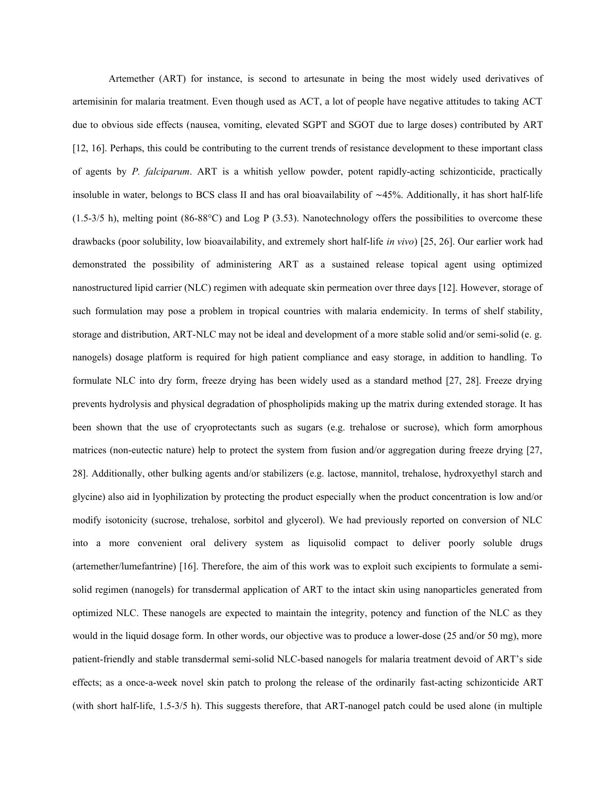Artemether (ART) for instance, is second to artesunate in being the most widely used derivatives of artemisinin for malaria treatment. Even though used as ACT, a lot of people have negative attitudes to taking ACT due to obvious side effects (nausea, vomiting, elevated SGPT and SGOT due to large doses) contributed by ART [12, 16]. Perhaps, this could be contributing to the current trends of resistance development to these important class of agents by *P. falciparum*. ART is a whitish yellow powder, potent rapidly-acting schizonticide, practically insoluble in water, belongs to BCS class II and has oral bioavailability of ∼45%. Additionally, it has short half-life  $(1.5-3/5 \text{ h})$ , melting point  $(86-88^{\circ}\text{C})$  and Log P  $(3.53)$ . Nanotechnology offers the possibilities to overcome these drawbacks (poor solubility, low bioavailability, and extremely short half-life *in vivo*) [25, 26]. Our earlier work had demonstrated the possibility of administering ART as a sustained release topical agent using optimized nanostructured lipid carrier (NLC) regimen with adequate skin permeation over three days [12]. However, storage of such formulation may pose a problem in tropical countries with malaria endemicity. In terms of shelf stability, storage and distribution, ART-NLC may not be ideal and development of a more stable solid and/or semi-solid (e. g. nanogels) dosage platform is required for high patient compliance and easy storage, in addition to handling. To formulate NLC into dry form, freeze drying has been widely used as a standard method [27, 28]. Freeze drying prevents hydrolysis and physical degradation of phospholipids making up the matrix during extended storage. It has been shown that the use of cryoprotectants such as sugars (e.g. trehalose or sucrose), which form amorphous matrices (non-eutectic nature) help to protect the system from fusion and/or aggregation during freeze drying [27, 28]. Additionally, other bulking agents and/or stabilizers (e.g. lactose, mannitol, trehalose, hydroxyethyl starch and glycine) also aid in lyophilization by protecting the product especially when the product concentration is low and/or modify isotonicity (sucrose, trehalose, sorbitol and glycerol). We had previously reported on conversion of NLC into a more convenient oral delivery system as liquisolid compact to deliver poorly soluble drugs (artemether/lumefantrine) [16]. Therefore, the aim of this work was to exploit such excipients to formulate a semisolid regimen (nanogels) for transdermal application of ART to the intact skin using nanoparticles generated from optimized NLC. These nanogels are expected to maintain the integrity, potency and function of the NLC as they would in the liquid dosage form. In other words, our objective was to produce a lower-dose (25 and/or 50 mg), more patient-friendly and stable transdermal semi-solid NLC-based nanogels for malaria treatment devoid of ART's side effects; as a once-a-week novel skin patch to prolong the release of the ordinarily fast-acting schizonticide ART (with short half-life, 1.5-3/5 h). This suggests therefore, that ART-nanogel patch could be used alone (in multiple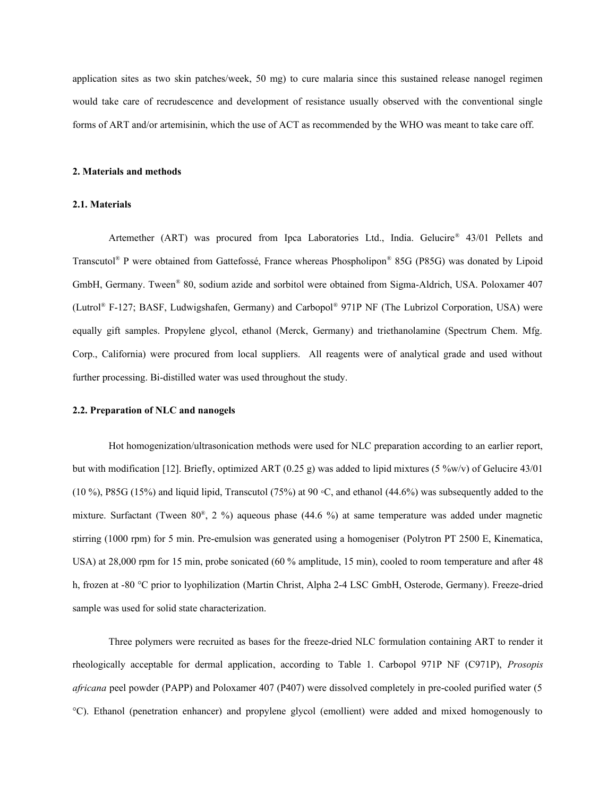application sites as two skin patches/week, 50 mg) to cure malaria since this sustained release nanogel regimen would take care of recrudescence and development of resistance usually observed with the conventional single forms of ART and/or artemisinin, which the use of ACT as recommended by the WHO was meant to take care off.

### **2. Materials and methods**

# **2.1. Materials**

Artemether (ART) was procured from Ipca Laboratories Ltd., India. Gelucire® 43/01 Pellets and Transcutol® P were obtained from Gattefossé, France whereas Phospholipon® 85G (P85G) was donated by Lipoid GmbH, Germany. Tween® 80, sodium azide and sorbitol were obtained from Sigma-Aldrich, USA. Poloxamer 407 (Lutrol® F-127; BASF, Ludwigshafen, Germany) and Carbopol® 971P NF (The Lubrizol Corporation, USA) were equally gift samples. Propylene glycol, ethanol (Merck, Germany) and triethanolamine (Spectrum Chem. Mfg. Corp., California) were procured from local suppliers. All reagents were of analytical grade and used without further processing. Bi-distilled water was used throughout the study.

#### **2.2. Preparation of NLC and nanogels**

Hot homogenization/ultrasonication methods were used for NLC preparation according to an earlier report, but with modification [12]. Briefly, optimized ART (0.25 g) was added to lipid mixtures (5 %w/v) of Gelucire 43/01 (10 %), P85G (15%) and liquid lipid, Transcutol (75%) at 90 °C, and ethanol (44.6%) was subsequently added to the mixture. Surfactant (Tween 80® , 2 %) aqueous phase (44.6 %) at same temperature was added under magnetic stirring (1000 rpm) for 5 min. Pre-emulsion was generated using a homogeniser (Polytron PT 2500 E, Kinematica, USA) at 28,000 rpm for 15 min, probe sonicated (60 % amplitude, 15 min), cooled to room temperature and after 48 h, frozen at -80 °C prior to lyophilization (Martin Christ, Alpha 2-4 LSC GmbH, Osterode, Germany). Freeze-dried sample was used for solid state characterization.

Three polymers were recruited as bases for the freeze-dried NLC formulation containing ART to render it rheologically acceptable for dermal application, according to Table 1. Carbopol 971P NF (C971P), *Prosopis africana* peel powder (PAPP) and Poloxamer 407 (P407) were dissolved completely in pre-cooled purified water (5 °C). Ethanol (penetration enhancer) and propylene glycol (emollient) were added and mixed homogenously to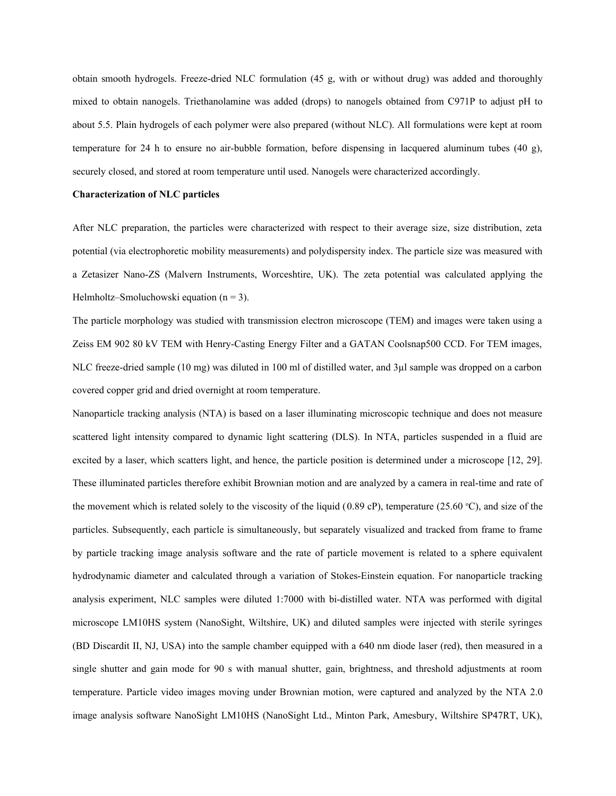obtain smooth hydrogels. Freeze-dried NLC formulation (45 g, with or without drug) was added and thoroughly mixed to obtain nanogels. Triethanolamine was added (drops) to nanogels obtained from C971P to adjust pH to about 5.5. Plain hydrogels of each polymer were also prepared (without NLC). All formulations were kept at room temperature for 24 h to ensure no air-bubble formation, before dispensing in lacquered aluminum tubes (40 g), securely closed, and stored at room temperature until used. Nanogels were characterized accordingly.

### **Characterization of NLC particles**

After NLC preparation, the particles were characterized with respect to their average size, size distribution, zeta potential (via electrophoretic mobility measurements) and polydispersity index. The particle size was measured with a Zetasizer Nano-ZS (Malvern Instruments, Worceshtire, UK). The zeta potential was calculated applying the Helmholtz–Smoluchowski equation  $(n = 3)$ .

The particle morphology was studied with transmission electron microscope (TEM) and images were taken using a Zeiss EM 902 80 kV TEM with Henry-Casting Energy Filter and a GATAN Coolsnap500 CCD. For TEM images, NLC freeze-dried sample (10 mg) was diluted in 100 ml of distilled water, and 3µl sample was dropped on a carbon covered copper grid and dried overnight at room temperature.

Nanoparticle tracking analysis (NTA) is based on a laser illuminating microscopic technique and does not measure scattered light intensity compared to dynamic light scattering (DLS). In NTA, particles suspended in a fluid are excited by a laser, which scatters light, and hence, the particle position is determined under a microscope [12, 29]. These illuminated particles therefore exhibit Brownian motion and are analyzed by a camera in real-time and rate of the movement which is related solely to the viscosity of the liquid (0.89 cP), temperature (25.60 °C), and size of the particles. Subsequently, each particle is simultaneously, but separately visualized and tracked from frame to frame by particle tracking image analysis software and the rate of particle movement is related to a sphere equivalent hydrodynamic diameter and calculated through a variation of Stokes-Einstein equation. For nanoparticle tracking analysis experiment, NLC samples were diluted 1:7000 with bi-distilled water. NTA was performed with digital microscope LM10HS system (NanoSight, Wiltshire, UK) and diluted samples were injected with sterile syringes (BD Discardit II, NJ, USA) into the sample chamber equipped with a 640 nm diode laser (red), then measured in a single shutter and gain mode for 90 s with manual shutter, gain, brightness, and threshold adjustments at room temperature. Particle video images moving under Brownian motion, were captured and analyzed by the NTA 2.0 image analysis software NanoSight LM10HS (NanoSight Ltd., Minton Park, Amesbury, Wiltshire SP47RT, UK),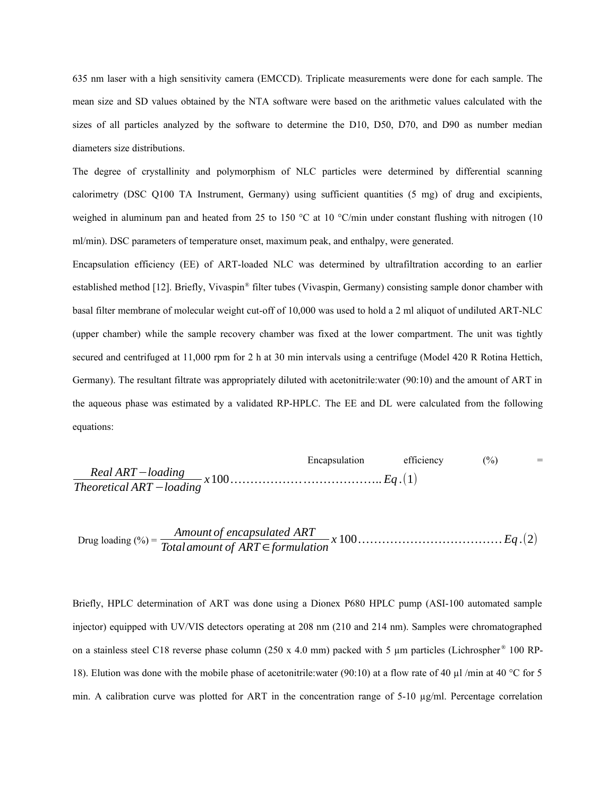635 nm laser with a high sensitivity camera (EMCCD). Triplicate measurements were done for each sample. The mean size and SD values obtained by the NTA software were based on the arithmetic values calculated with the sizes of all particles analyzed by the software to determine the D10, D50, D70, and D90 as number median diameters size distributions.

The degree of crystallinity and polymorphism of NLC particles were determined by differential scanning calorimetry (DSC Q100 TA Instrument, Germany) using sufficient quantities (5 mg) of drug and excipients, weighed in aluminum pan and heated from 25 to 150 °C at 10 °C/min under constant flushing with nitrogen (10 ml/min). DSC parameters of temperature onset, maximum peak, and enthalpy, were generated.

Encapsulation efficiency (EE) of ART-loaded NLC was determined by ultrafiltration according to an earlier established method [12]. Briefly, Vivaspin® filter tubes (Vivaspin, Germany) consisting sample donor chamber with basal filter membrane of molecular weight cut-off of 10,000 was used to hold a 2 ml aliquot of undiluted ART-NLC (upper chamber) while the sample recovery chamber was fixed at the lower compartment. The unit was tightly secured and centrifuged at 11,000 rpm for 2 h at 30 min intervals using a centrifuge (Model 420 R Rotina Hettich, Germany). The resultant filtrate was appropriately diluted with acetonitrile:water (90:10) and the amount of ART in the aqueous phase was estimated by a validated RP-HPLC. The EE and DL were calculated from the following equations:

 Encapsulation efficiency (%) = *Real ART*−*loading Theoretical ART* <sup>−</sup>*loading <sup>x</sup>*100*……………… ………………*.. *Eq* .(1)

 $\Delta E = \frac{A$  *Amount of encapsulated ART*  $\Delta E = \frac{A}{B}$  *Z* 100  $\ldots$  *COU Eq.*(2)

Briefly, HPLC determination of ART was done using a Dionex P680 HPLC pump (ASI-100 automated sample injector) equipped with UV/VIS detectors operating at 208 nm (210 and 214 nm). Samples were chromatographed on a stainless steel C18 reverse phase column (250 x 4.0 mm) packed with 5  $\mu$ m particles (Lichrospher ® 100 RP-18). Elution was done with the mobile phase of acetonitrile:water (90:10) at a flow rate of 40  $\mu$ l /min at 40 °C for 5 min. A calibration curve was plotted for ART in the concentration range of 5-10  $\mu$ g/ml. Percentage correlation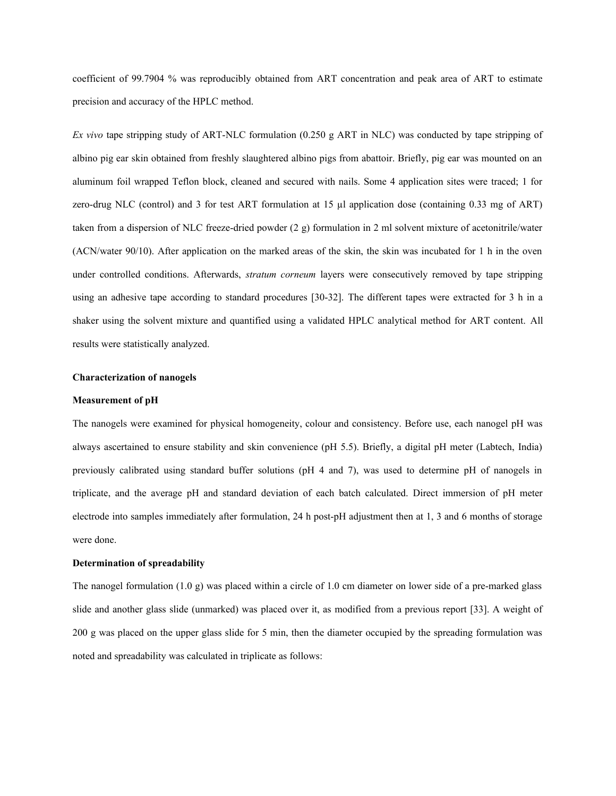coefficient of 99.7904 % was reproducibly obtained from ART concentration and peak area of ART to estimate precision and accuracy of the HPLC method.

*Ex vivo* tape stripping study of ART-NLC formulation (0.250 g ART in NLC) was conducted by tape stripping of albino pig ear skin obtained from freshly slaughtered albino pigs from abattoir. Briefly, pig ear was mounted on an aluminum foil wrapped Teflon block, cleaned and secured with nails. Some 4 application sites were traced; 1 for zero-drug NLC (control) and 3 for test ART formulation at 15 µl application dose (containing 0.33 mg of ART) taken from a dispersion of NLC freeze-dried powder (2 g) formulation in 2 ml solvent mixture of acetonitrile/water (ACN/water 90/10). After application on the marked areas of the skin, the skin was incubated for 1 h in the oven under controlled conditions. Afterwards, *stratum corneum* layers were consecutively removed by tape stripping using an adhesive tape according to standard procedures [30-32]. The different tapes were extracted for 3 h in a shaker using the solvent mixture and quantified using a validated HPLC analytical method for ART content. All results were statistically analyzed.

#### **Characterization of nanogels**

#### **Measurement of pH**

The nanogels were examined for physical homogeneity, colour and consistency. Before use, each nanogel pH was always ascertained to ensure stability and skin convenience (pH 5.5). Briefly, a digital pH meter (Labtech, India) previously calibrated using standard buffer solutions (pH 4 and 7), was used to determine pH of nanogels in triplicate, and the average pH and standard deviation of each batch calculated. Direct immersion of pH meter electrode into samples immediately after formulation, 24 h post-pH adjustment then at 1, 3 and 6 months of storage were done.

# **Determination of spreadability**

The nanogel formulation  $(1.0 \text{ g})$  was placed within a circle of 1.0 cm diameter on lower side of a pre-marked glass slide and another glass slide (unmarked) was placed over it, as modified from a previous report [33]. A weight of 200 g was placed on the upper glass slide for 5 min, then the diameter occupied by the spreading formulation was noted and spreadability was calculated in triplicate as follows: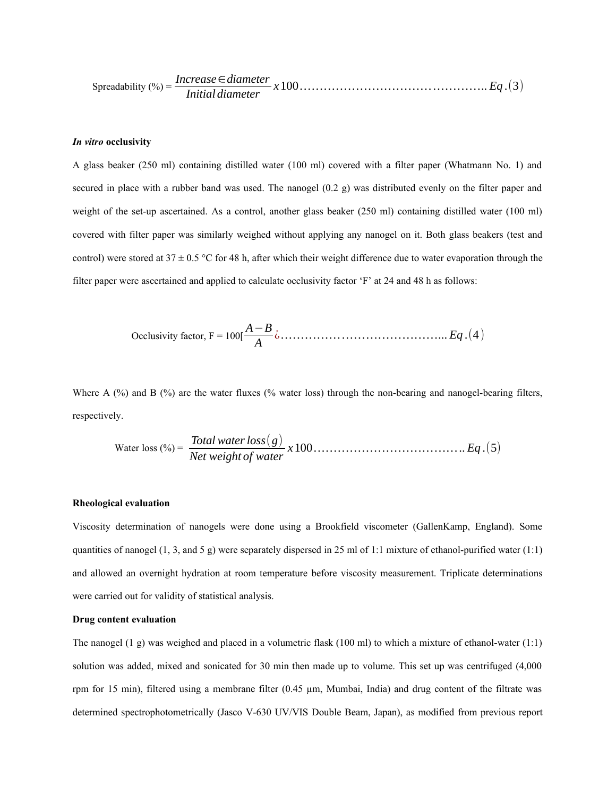Spreadability (%) = *Increase*∈*diameter Initial diameter <sup>x</sup>*100*…………………………… …………*.. *Eq* .(3)

#### *In vitro* **occlusivity**

A glass beaker (250 ml) containing distilled water (100 ml) covered with a filter paper (Whatmann No. 1) and secured in place with a rubber band was used. The nanogel (0.2 g) was distributed evenly on the filter paper and weight of the set-up ascertained. As a control, another glass beaker (250 ml) containing distilled water (100 ml) covered with filter paper was similarly weighed without applying any nanogel on it. Both glass beakers (test and control) were stored at  $37 \pm 0.5$  °C for 48 h, after which their weight difference due to water evaporation through the filter paper were ascertained and applied to calculate occlusivity factor 'F' at 24 and 48 h as follows:

Ocolusivity factor, 
$$
F = 100 \left[ \frac{A - B}{A} \dot{\omega} \dots \dots \dots \dots \dots \dots \dots \dots \dots \dots \dots \dots \dots Eq \cdot (4) \right]
$$

Where A (%) and B (%) are the water fluxes (% water loss) through the non-bearing and nanogel-bearing filters, respectively.

Water loss (%) = *Total waterloss*(*g*) *Net weight of water x*100*………………………………*.. *Eq* .(5)

#### **Rheological evaluation**

Viscosity determination of nanogels were done using a Brookfield viscometer (GallenKamp, England). Some quantities of nanogel  $(1, 3, and 5 g)$  were separately dispersed in 25 ml of 1:1 mixture of ethanol-purified water (1:1) and allowed an overnight hydration at room temperature before viscosity measurement. Triplicate determinations were carried out for validity of statistical analysis.

# **Drug content evaluation**

The nanogel (1 g) was weighed and placed in a volumetric flask (100 ml) to which a mixture of ethanol-water (1:1) solution was added, mixed and sonicated for 30 min then made up to volume. This set up was centrifuged (4,000 rpm for 15 min), filtered using a membrane filter (0.45 µm, Mumbai, India) and drug content of the filtrate was determined spectrophotometrically (Jasco V-630 UV/VIS Double Beam, Japan), as modified from previous report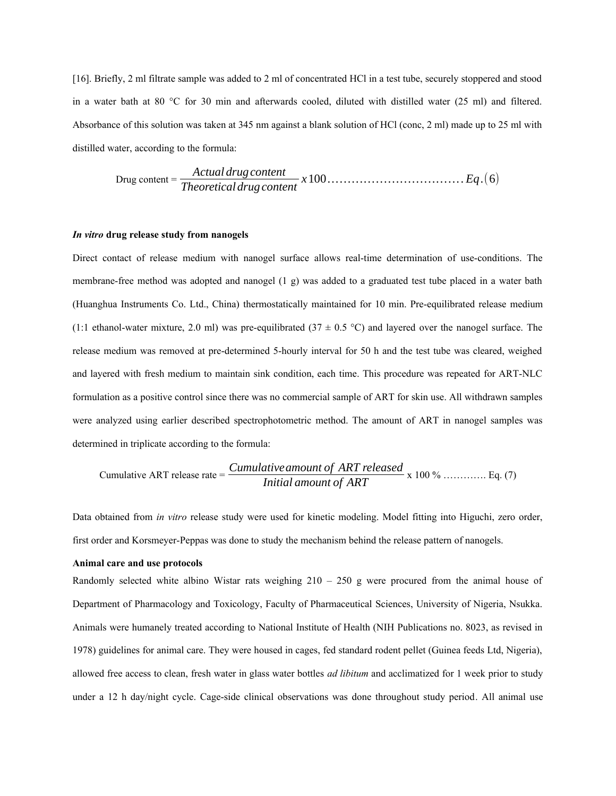[16]. Briefly, 2 ml filtrate sample was added to 2 ml of concentrated HCl in a test tube, securely stoppered and stood in a water bath at 80 °C for 30 min and afterwards cooled, diluted with distilled water (25 ml) and filtered. Absorbance of this solution was taken at 345 nm against a blank solution of HCl (conc, 2 ml) made up to 25 ml with distilled water, according to the formula:

$$
Drug content = \frac{Actual \, drug \, content}{Theoretical \, drug \, content} \, x \, 100 \, \dots \, \dots \, \dots \, \dots \, \dots \, \dots \, . \, Eq. (6)
$$

#### *In vitro* **drug release study from nanogels**

Direct contact of release medium with nanogel surface allows real-time determination of use-conditions. The membrane-free method was adopted and nanogel (1 g) was added to a graduated test tube placed in a water bath (Huanghua Instruments Co. Ltd., China) thermostatically maintained for 10 min. Pre-equilibrated release medium (1:1 ethanol-water mixture, 2.0 ml) was pre-equilibrated (37  $\pm$  0.5 °C) and layered over the nanogel surface. The release medium was removed at pre-determined 5-hourly interval for 50 h and the test tube was cleared, weighed and layered with fresh medium to maintain sink condition, each time. This procedure was repeated for ART-NLC formulation as a positive control since there was no commercial sample of ART for skin use. All withdrawn samples were analyzed using earlier described spectrophotometric method. The amount of ART in nanogel samples was determined in triplicate according to the formula:

Cumulative ART release rate = 
$$
\frac{Cumulative\ amount\ of\ ART\ released}{Initial\ amount\ of\ ART} \times 100\% \ \dots \dots \dots \dots \ \text{Eq. (7)}
$$

Data obtained from *in vitro* release study were used for kinetic modeling. Model fitting into Higuchi, zero order, first order and Korsmeyer-Peppas was done to study the mechanism behind the release pattern of nanogels.

# **Animal care and use protocols**

Randomly selected white albino Wistar rats weighing  $210 - 250$  g were procured from the animal house of Department of Pharmacology and Toxicology, Faculty of Pharmaceutical Sciences, University of Nigeria, Nsukka. Animals were humanely treated according to National Institute of Health (NIH Publications no. 8023, as revised in 1978) guidelines for animal care. They were housed in cages, fed standard rodent pellet (Guinea feeds Ltd, Nigeria), allowed free access to clean, fresh water in glass water bottles *ad libitum* and acclimatized for 1 week prior to study under a 12 h day/night cycle. Cage-side clinical observations was done throughout study period. All animal use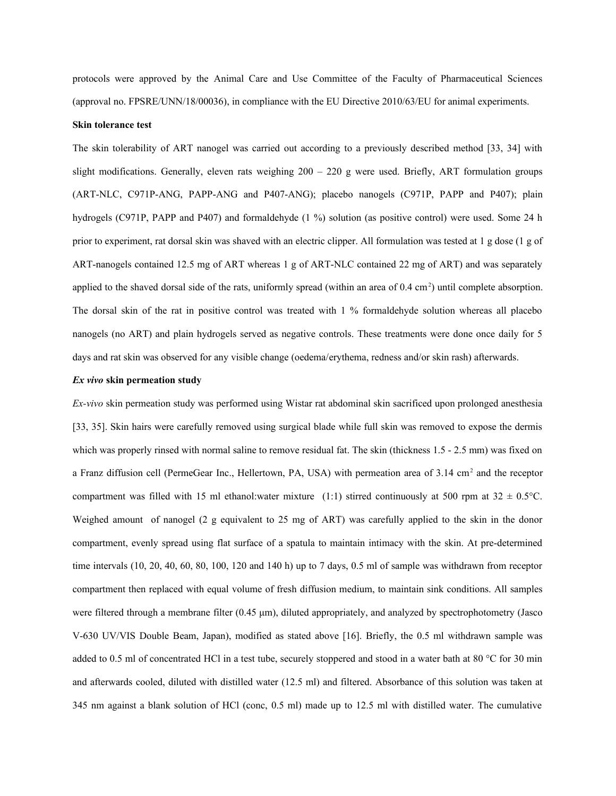protocols were approved by the Animal Care and Use Committee of the Faculty of Pharmaceutical Sciences (approval no. FPSRE/UNN/18/00036), in compliance with the EU Directive 2010/63/EU for animal experiments.

#### **Skin tolerance test**

The skin tolerability of ART nanogel was carried out according to a previously described method [33, 34] with slight modifications. Generally, eleven rats weighing 200 – 220 g were used. Briefly, ART formulation groups (ART-NLC, C971P-ANG, PAPP-ANG and P407-ANG); placebo nanogels (C971P, PAPP and P407); plain hydrogels (C971P, PAPP and P407) and formaldehyde (1 %) solution (as positive control) were used. Some 24 h prior to experiment, rat dorsal skin was shaved with an electric clipper. All formulation was tested at 1 g dose (1 g of ART-nanogels contained 12.5 mg of ART whereas 1 g of ART-NLC contained 22 mg of ART) and was separately applied to the shaved dorsal side of the rats, uniformly spread (within an area of  $0.4 \text{ cm}^2$ ) until complete absorption. The dorsal skin of the rat in positive control was treated with 1 % formaldehyde solution whereas all placebo nanogels (no ART) and plain hydrogels served as negative controls. These treatments were done once daily for 5 days and rat skin was observed for any visible change (oedema/erythema, redness and/or skin rash) afterwards.

## *Ex vivo* **skin permeation study**

*Ex-vivo* skin permeation study was performed using Wistar rat abdominal skin sacrificed upon prolonged anesthesia [33, 35]. Skin hairs were carefully removed using surgical blade while full skin was removed to expose the dermis which was properly rinsed with normal saline to remove residual fat. The skin (thickness 1.5 - 2.5 mm) was fixed on a Franz diffusion cell (PermeGear Inc., Hellertown, PA, USA) with permeation area of 3.14 cm<sup>2</sup> and the receptor compartment was filled with 15 ml ethanol:water mixture (1:1) stirred continuously at 500 rpm at  $32 \pm 0.5^{\circ}$ C. Weighed amount of nanogel (2 g equivalent to 25 mg of ART) was carefully applied to the skin in the donor compartment, evenly spread using flat surface of a spatula to maintain intimacy with the skin. At pre-determined time intervals (10, 20, 40, 60, 80, 100, 120 and 140 h) up to 7 days, 0.5 ml of sample was withdrawn from receptor compartment then replaced with equal volume of fresh diffusion medium, to maintain sink conditions. All samples were filtered through a membrane filter (0.45 μm), diluted appropriately, and analyzed by spectrophotometry (Jasco V-630 UV/VIS Double Beam, Japan), modified as stated above [16]. Briefly, the 0.5 ml withdrawn sample was added to 0.5 ml of concentrated HCl in a test tube, securely stoppered and stood in a water bath at 80 °C for 30 min and afterwards cooled, diluted with distilled water (12.5 ml) and filtered. Absorbance of this solution was taken at 345 nm against a blank solution of HCl (conc, 0.5 ml) made up to 12.5 ml with distilled water. The cumulative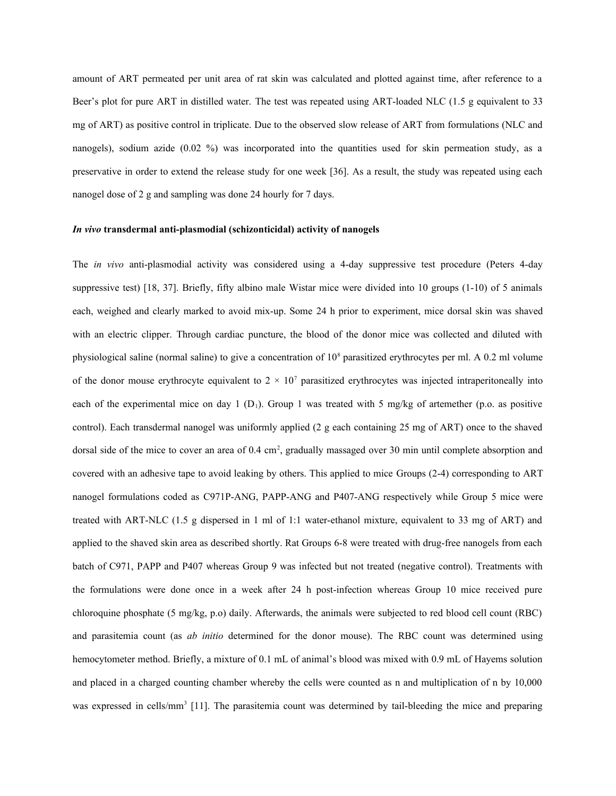amount of ART permeated per unit area of rat skin was calculated and plotted against time, after reference to a Beer's plot for pure ART in distilled water. The test was repeated using ART-loaded NLC (1.5 g equivalent to 33 mg of ART) as positive control in triplicate. Due to the observed slow release of ART from formulations (NLC and nanogels), sodium azide (0.02 %) was incorporated into the quantities used for skin permeation study, as a preservative in order to extend the release study for one week [36]. As a result, the study was repeated using each nanogel dose of 2 g and sampling was done 24 hourly for 7 days.

### *In vivo* **transdermal anti-plasmodial (schizonticidal) activity of nanogels**

The *in vivo* anti-plasmodial activity was considered using a 4-day suppressive test procedure (Peters 4-day suppressive test) [18, 37]. Briefly, fifty albino male Wistar mice were divided into 10 groups (1-10) of 5 animals each, weighed and clearly marked to avoid mix-up. Some 24 h prior to experiment, mice dorsal skin was shaved with an electric clipper. Through cardiac puncture, the blood of the donor mice was collected and diluted with physiological saline (normal saline) to give a concentration of 10<sup>8</sup> parasitized erythrocytes per ml. A 0.2 ml volume of the donor mouse erythrocyte equivalent to  $2 \times 10^7$  parasitized erythrocytes was injected intraperitoneally into each of the experimental mice on day 1 (D<sub>1</sub>). Group 1 was treated with 5 mg/kg of artemether (p.o. as positive control). Each transdermal nanogel was uniformly applied (2 g each containing 25 mg of ART) once to the shaved dorsal side of the mice to cover an area of 0.4 cm<sup>2</sup>, gradually massaged over 30 min until complete absorption and covered with an adhesive tape to avoid leaking by others. This applied to mice Groups (2-4) corresponding to ART nanogel formulations coded as C971P-ANG, PAPP-ANG and P407-ANG respectively while Group 5 mice were treated with ART-NLC (1.5 g dispersed in 1 ml of 1:1 water-ethanol mixture, equivalent to 33 mg of ART) and applied to the shaved skin area as described shortly. Rat Groups 6-8 were treated with drug-free nanogels from each batch of C971, PAPP and P407 whereas Group 9 was infected but not treated (negative control). Treatments with the formulations were done once in a week after 24 h post-infection whereas Group 10 mice received pure chloroquine phosphate (5 mg/kg, p.o) daily. Afterwards, the animals were subjected to red blood cell count (RBC) and parasitemia count (as *ab initio* determined for the donor mouse). The RBC count was determined using hemocytometer method. Briefly, a mixture of 0.1 mL of animal's blood was mixed with 0.9 mL of Hayems solution and placed in a charged counting chamber whereby the cells were counted as n and multiplication of n by 10,000 was expressed in cells/mm<sup>3</sup> [11]. The parasitemia count was determined by tail-bleeding the mice and preparing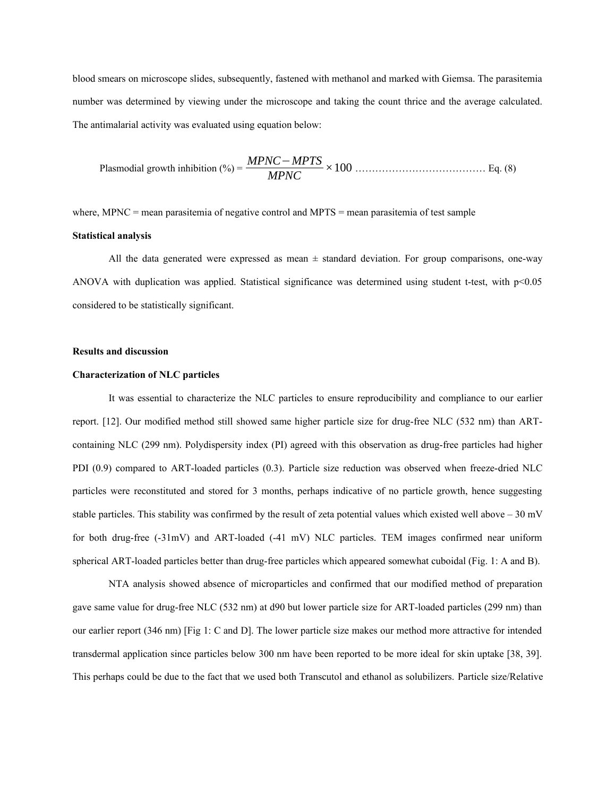blood smears on microscope slides, subsequently, fastened with methanol and marked with Giemsa. The parasitemia number was determined by viewing under the microscope and taking the count thrice and the average calculated. The antimalarial activity was evaluated using equation below:

Plasmodial growth inhibition (%) = 
$$
\frac{MPNC - MPTS}{MPNC} \times 100
$$
................. Eq. (8)

where, MPNC  $=$  mean parasitemia of negative control and MPTS  $=$  mean parasitemia of test sample

### **Statistical analysis**

All the data generated were expressed as mean  $\pm$  standard deviation. For group comparisons, one-way ANOVA with duplication was applied. Statistical significance was determined using student t-test, with  $p<0.05$ considered to be statistically significant.

#### **Results and discussion**

### **Characterization of NLC particles**

It was essential to characterize the NLC particles to ensure reproducibility and compliance to our earlier report. [12]. Our modified method still showed same higher particle size for drug-free NLC (532 nm) than ARTcontaining NLC (299 nm). Polydispersity index (PI) agreed with this observation as drug-free particles had higher PDI (0.9) compared to ART-loaded particles (0.3). Particle size reduction was observed when freeze-dried NLC particles were reconstituted and stored for 3 months, perhaps indicative of no particle growth, hence suggesting stable particles. This stability was confirmed by the result of zeta potential values which existed well above – 30 mV for both drug-free (-31mV) and ART-loaded (-41 mV) NLC particles. TEM images confirmed near uniform spherical ART-loaded particles better than drug-free particles which appeared somewhat cuboidal (Fig. 1: A and B).

NTA analysis showed absence of microparticles and confirmed that our modified method of preparation gave same value for drug-free NLC (532 nm) at d90 but lower particle size for ART-loaded particles (299 nm) than our earlier report (346 nm) [Fig 1: C and D]. The lower particle size makes our method more attractive for intended transdermal application since particles below 300 nm have been reported to be more ideal for skin uptake [38, 39]. This perhaps could be due to the fact that we used both Transcutol and ethanol as solubilizers. Particle size/Relative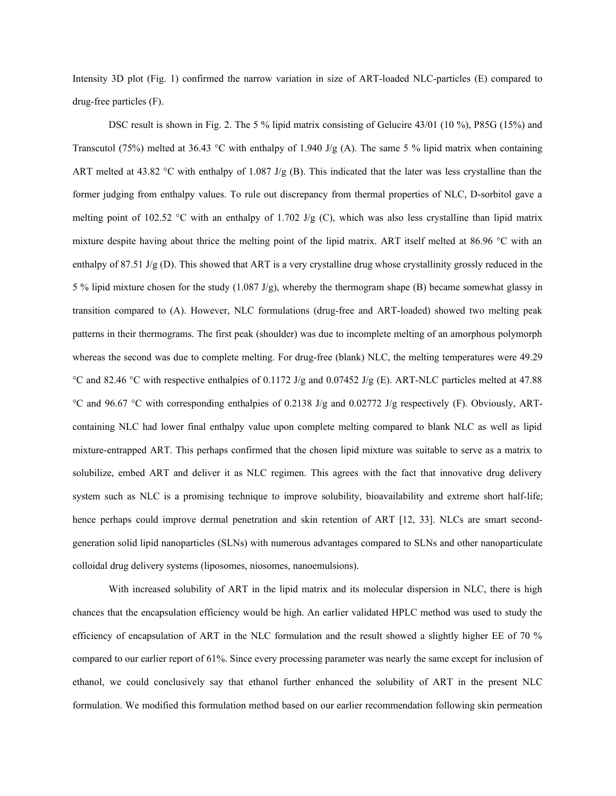Intensity 3D plot (Fig. 1) confirmed the narrow variation in size of ART-loaded NLC-particles (E) compared to drug-free particles (F).

DSC result is shown in Fig. 2. The 5 % lipid matrix consisting of Gelucire 43/01 (10 %), P85G (15%) and Transcutol (75%) melted at 36.43 °C with enthalpy of 1.940 J/g (A). The same 5 % lipid matrix when containing ART melted at 43.82 °C with enthalpy of 1.087 J/g (B). This indicated that the later was less crystalline than the former judging from enthalpy values. To rule out discrepancy from thermal properties of NLC, D-sorbitol gave a melting point of 102.52 °C with an enthalpy of 1.702 J/g (C), which was also less crystalline than lipid matrix mixture despite having about thrice the melting point of the lipid matrix. ART itself melted at 86.96 °C with an enthalpy of 87.51 J/g (D). This showed that ART is a very crystalline drug whose crystallinity grossly reduced in the 5 % lipid mixture chosen for the study (1.087 J/g), whereby the thermogram shape (B) became somewhat glassy in transition compared to (A). However, NLC formulations (drug-free and ART-loaded) showed two melting peak patterns in their thermograms. The first peak (shoulder) was due to incomplete melting of an amorphous polymorph whereas the second was due to complete melting. For drug-free (blank) NLC, the melting temperatures were 49.29 °C and 82.46 °C with respective enthalpies of 0.1172 J/g and 0.07452 J/g (E). ART-NLC particles melted at 47.88 °C and 96.67 °C with corresponding enthalpies of 0.2138 J/g and 0.02772 J/g respectively (F). Obviously, ARTcontaining NLC had lower final enthalpy value upon complete melting compared to blank NLC as well as lipid mixture-entrapped ART. This perhaps confirmed that the chosen lipid mixture was suitable to serve as a matrix to solubilize, embed ART and deliver it as NLC regimen. This agrees with the fact that innovative drug delivery system such as NLC is a promising technique to improve solubility, bioavailability and extreme short half-life; hence perhaps could improve dermal penetration and skin retention of ART [12, 33]. NLCs are smart secondgeneration solid lipid nanoparticles (SLNs) with numerous advantages compared to SLNs and other nanoparticulate colloidal drug delivery systems (liposomes, niosomes, nanoemulsions).

With increased solubility of ART in the lipid matrix and its molecular dispersion in NLC, there is high chances that the encapsulation efficiency would be high. An earlier validated HPLC method was used to study the efficiency of encapsulation of ART in the NLC formulation and the result showed a slightly higher EE of 70 % compared to our earlier report of 61%. Since every processing parameter was nearly the same except for inclusion of ethanol, we could conclusively say that ethanol further enhanced the solubility of ART in the present NLC formulation. We modified this formulation method based on our earlier recommendation following skin permeation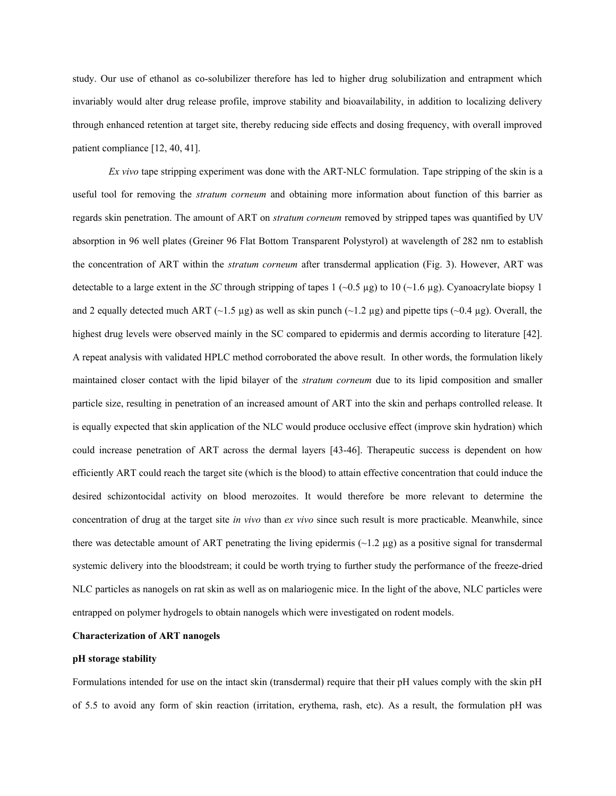study. Our use of ethanol as co-solubilizer therefore has led to higher drug solubilization and entrapment which invariably would alter drug release profile, improve stability and bioavailability, in addition to localizing delivery through enhanced retention at target site, thereby reducing side effects and dosing frequency, with overall improved patient compliance [12, 40, 41].

*Ex vivo* tape stripping experiment was done with the ART-NLC formulation. Tape stripping of the skin is a useful tool for removing the *stratum corneum* and obtaining more information about function of this barrier as regards skin penetration. The amount of ART on *stratum corneum* removed by stripped tapes was quantified by UV absorption in 96 well plates (Greiner 96 Flat Bottom Transparent Polystyrol) at wavelength of 282 nm to establish the concentration of ART within the *stratum corneum* after transdermal application (Fig. 3). However, ART was detectable to a large extent in the *SC* through stripping of tapes 1 ( $\sim$ 0.5 µg) to 10 ( $\sim$ 1.6 µg). Cyanoacrylate biopsy 1 and 2 equally detected much ART (~1.5 µg) as well as skin punch (~1.2 µg) and pipette tips (~0.4 µg). Overall, the highest drug levels were observed mainly in the SC compared to epidermis and dermis according to literature [42]. A repeat analysis with validated HPLC method corroborated the above result. In other words, the formulation likely maintained closer contact with the lipid bilayer of the *stratum corneum* due to its lipid composition and smaller particle size, resulting in penetration of an increased amount of ART into the skin and perhaps controlled release. It is equally expected that skin application of the NLC would produce occlusive effect (improve skin hydration) which could increase penetration of ART across the dermal layers [43-46]. Therapeutic success is dependent on how efficiently ART could reach the target site (which is the blood) to attain effective concentration that could induce the desired schizontocidal activity on blood merozoites. It would therefore be more relevant to determine the concentration of drug at the target site *in vivo* than *ex vivo* since such result is more practicable. Meanwhile, since there was detectable amount of ART penetrating the living epidermis  $(\sim 1.2 \,\mu$ g) as a positive signal for transdermal systemic delivery into the bloodstream; it could be worth trying to further study the performance of the freeze-dried NLC particles as nanogels on rat skin as well as on malariogenic mice. In the light of the above, NLC particles were entrapped on polymer hydrogels to obtain nanogels which were investigated on rodent models.

## **Characterization of ART nanogels**

## **pH storage stability**

Formulations intended for use on the intact skin (transdermal) require that their pH values comply with the skin pH of 5.5 to avoid any form of skin reaction (irritation, erythema, rash, etc). As a result, the formulation pH was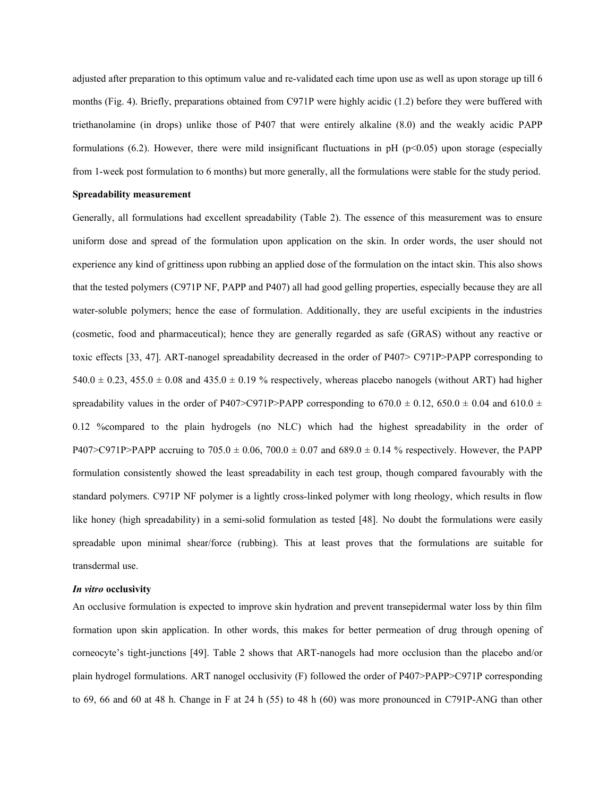adjusted after preparation to this optimum value and re-validated each time upon use as well as upon storage up till 6 months (Fig. 4). Briefly, preparations obtained from C971P were highly acidic (1.2) before they were buffered with triethanolamine (in drops) unlike those of P407 that were entirely alkaline (8.0) and the weakly acidic PAPP formulations (6.2). However, there were mild insignificant fluctuations in pH ( $p<0.05$ ) upon storage (especially from 1-week post formulation to 6 months) but more generally, all the formulations were stable for the study period.

#### **Spreadability measurement**

Generally, all formulations had excellent spreadability (Table 2). The essence of this measurement was to ensure uniform dose and spread of the formulation upon application on the skin. In order words, the user should not experience any kind of grittiness upon rubbing an applied dose of the formulation on the intact skin. This also shows that the tested polymers (C971P NF, PAPP and P407) all had good gelling properties, especially because they are all water-soluble polymers; hence the ease of formulation. Additionally, they are useful excipients in the industries (cosmetic, food and pharmaceutical); hence they are generally regarded as safe (GRAS) without any reactive or toxic effects [33, 47]. ART-nanogel spreadability decreased in the order of P407> C971P>PAPP corresponding to 540.0  $\pm$  0.23, 455.0  $\pm$  0.08 and 435.0  $\pm$  0.19 % respectively, whereas placebo nanogels (without ART) had higher spreadability values in the order of P407>C971P>PAPP corresponding to 670.0  $\pm$  0.12, 650.0  $\pm$  0.04 and 610.0  $\pm$ 0.12 %compared to the plain hydrogels (no NLC) which had the highest spreadability in the order of P407>C971P>PAPP accruing to  $705.0 \pm 0.06$ ,  $700.0 \pm 0.07$  and  $689.0 \pm 0.14$  % respectively. However, the PAPP formulation consistently showed the least spreadability in each test group, though compared favourably with the standard polymers. C971P NF polymer is a lightly cross-linked polymer with long rheology, which results in flow like honey (high spreadability) in a semi-solid formulation as tested [48]. No doubt the formulations were easily spreadable upon minimal shear/force (rubbing). This at least proves that the formulations are suitable for transdermal use.

#### *In vitro* **occlusivity**

An occlusive formulation is expected to improve skin hydration and prevent transepidermal water loss by thin film formation upon skin application. In other words, this makes for better permeation of drug through opening of corneocyte's tight-junctions [49]. Table 2 shows that ART-nanogels had more occlusion than the placebo and/or plain hydrogel formulations. ART nanogel occlusivity (F) followed the order of P407>PAPP>C971P corresponding to 69, 66 and 60 at 48 h. Change in F at 24 h (55) to 48 h (60) was more pronounced in C791P-ANG than other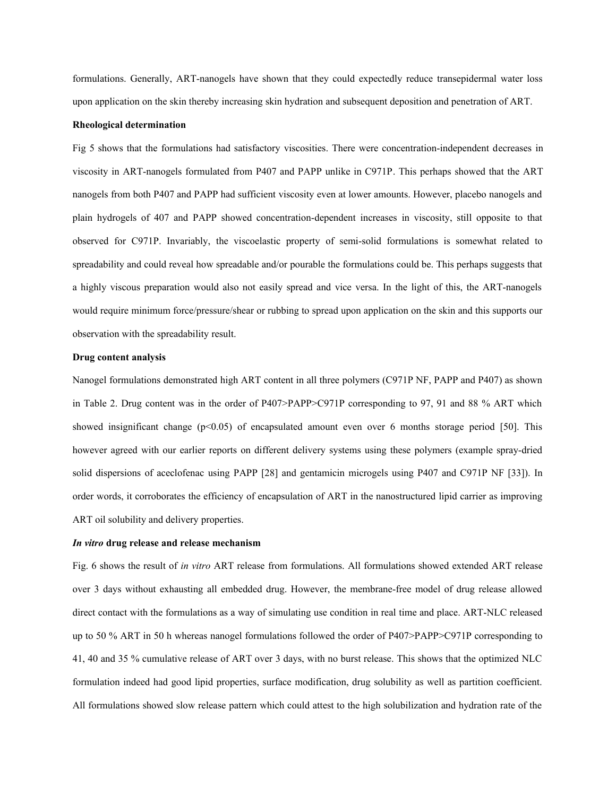formulations. Generally, ART-nanogels have shown that they could expectedly reduce transepidermal water loss upon application on the skin thereby increasing skin hydration and subsequent deposition and penetration of ART.

#### **Rheological determination**

Fig 5 shows that the formulations had satisfactory viscosities. There were concentration-independent decreases in viscosity in ART-nanogels formulated from P407 and PAPP unlike in C971P. This perhaps showed that the ART nanogels from both P407 and PAPP had sufficient viscosity even at lower amounts. However, placebo nanogels and plain hydrogels of 407 and PAPP showed concentration-dependent increases in viscosity, still opposite to that observed for C971P. Invariably, the viscoelastic property of semi-solid formulations is somewhat related to spreadability and could reveal how spreadable and/or pourable the formulations could be. This perhaps suggests that a highly viscous preparation would also not easily spread and vice versa. In the light of this, the ART-nanogels would require minimum force/pressure/shear or rubbing to spread upon application on the skin and this supports our observation with the spreadability result.

#### **Drug content analysis**

Nanogel formulations demonstrated high ART content in all three polymers (C971P NF, PAPP and P407) as shown in Table 2. Drug content was in the order of P407>PAPP>C971P corresponding to 97, 91 and 88 % ART which showed insignificant change  $(p<0.05)$  of encapsulated amount even over 6 months storage period [50]. This however agreed with our earlier reports on different delivery systems using these polymers (example spray-dried solid dispersions of aceclofenac using PAPP [28] and gentamicin microgels using P407 and C971P NF [33]). In order words, it corroborates the efficiency of encapsulation of ART in the nanostructured lipid carrier as improving ART oil solubility and delivery properties.

#### *In vitro* **drug release and release mechanism**

Fig. 6 shows the result of *in vitro* ART release from formulations. All formulations showed extended ART release over 3 days without exhausting all embedded drug. However, the membrane-free model of drug release allowed direct contact with the formulations as a way of simulating use condition in real time and place. ART-NLC released up to 50 % ART in 50 h whereas nanogel formulations followed the order of P407>PAPP>C971P corresponding to 41, 40 and 35 % cumulative release of ART over 3 days, with no burst release. This shows that the optimized NLC formulation indeed had good lipid properties, surface modification, drug solubility as well as partition coefficient. All formulations showed slow release pattern which could attest to the high solubilization and hydration rate of the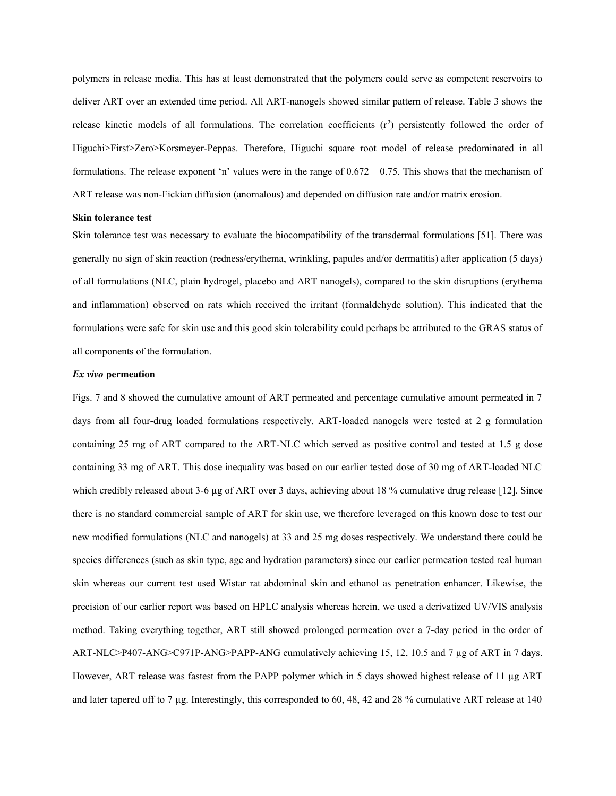polymers in release media. This has at least demonstrated that the polymers could serve as competent reservoirs to deliver ART over an extended time period. All ART-nanogels showed similar pattern of release. Table 3 shows the release kinetic models of all formulations. The correlation coefficients  $(r^2)$  persistently followed the order of Higuchi>First>Zero>Korsmeyer-Peppas. Therefore, Higuchi square root model of release predominated in all formulations. The release exponent 'n' values were in the range of 0.672 – 0.75. This shows that the mechanism of ART release was non-Fickian diffusion (anomalous) and depended on diffusion rate and/or matrix erosion.

#### **Skin tolerance test**

Skin tolerance test was necessary to evaluate the biocompatibility of the transdermal formulations [51]. There was generally no sign of skin reaction (redness/erythema, wrinkling, papules and/or dermatitis) after application (5 days) of all formulations (NLC, plain hydrogel, placebo and ART nanogels), compared to the skin disruptions (erythema and inflammation) observed on rats which received the irritant (formaldehyde solution). This indicated that the formulations were safe for skin use and this good skin tolerability could perhaps be attributed to the GRAS status of all components of the formulation.

#### *Ex vivo* **permeation**

Figs. 7 and 8 showed the cumulative amount of ART permeated and percentage cumulative amount permeated in 7 days from all four-drug loaded formulations respectively. ART-loaded nanogels were tested at 2 g formulation containing 25 mg of ART compared to the ART-NLC which served as positive control and tested at 1.5 g dose containing 33 mg of ART. This dose inequality was based on our earlier tested dose of 30 mg of ART-loaded NLC which credibly released about 3-6 µg of ART over 3 days, achieving about 18 % cumulative drug release [12]. Since there is no standard commercial sample of ART for skin use, we therefore leveraged on this known dose to test our new modified formulations (NLC and nanogels) at 33 and 25 mg doses respectively. We understand there could be species differences (such as skin type, age and hydration parameters) since our earlier permeation tested real human skin whereas our current test used Wistar rat abdominal skin and ethanol as penetration enhancer. Likewise, the precision of our earlier report was based on HPLC analysis whereas herein, we used a derivatized UV/VIS analysis method. Taking everything together, ART still showed prolonged permeation over a 7-day period in the order of ART-NLC>P407-ANG>C971P-ANG>PAPP-ANG cumulatively achieving 15, 12, 10.5 and 7 µg of ART in 7 days. However, ART release was fastest from the PAPP polymer which in 5 days showed highest release of 11 µg ART and later tapered off to 7 µg. Interestingly, this corresponded to 60, 48, 42 and 28 % cumulative ART release at 140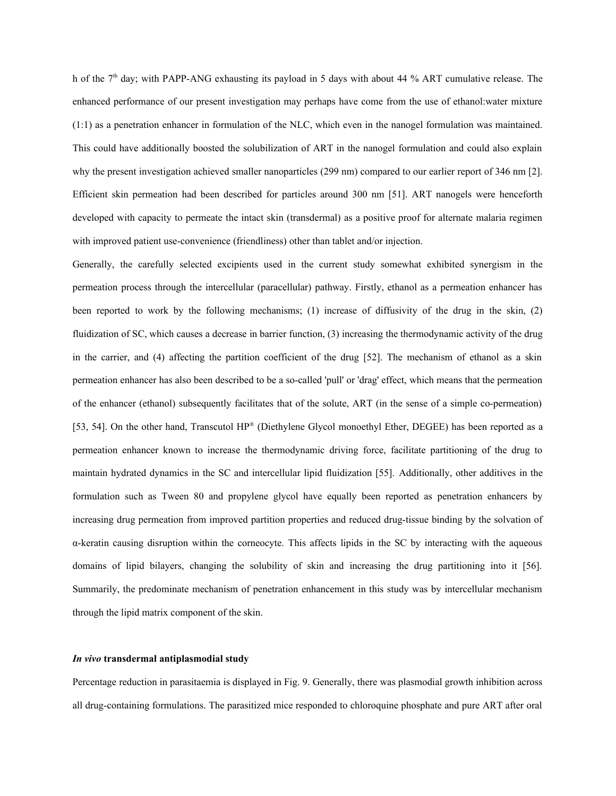h of the 7th day; with PAPP-ANG exhausting its payload in 5 days with about 44 % ART cumulative release. The enhanced performance of our present investigation may perhaps have come from the use of ethanol:water mixture (1:1) as a penetration enhancer in formulation of the NLC, which even in the nanogel formulation was maintained. This could have additionally boosted the solubilization of ART in the nanogel formulation and could also explain why the present investigation achieved smaller nanoparticles (299 nm) compared to our earlier report of 346 nm [2]. Efficient skin permeation had been described for particles around 300 nm [51]. ART nanogels were henceforth developed with capacity to permeate the intact skin (transdermal) as a positive proof for alternate malaria regimen with improved patient use-convenience (friendliness) other than tablet and/or injection.

Generally, the carefully selected excipients used in the current study somewhat exhibited synergism in the permeation process through the intercellular (paracellular) pathway. Firstly, ethanol as a permeation enhancer has been reported to work by the following mechanisms; (1) increase of diffusivity of the drug in the skin, (2) fluidization of SC, which causes a decrease in barrier function, (3) increasing the thermodynamic activity of the drug in the carrier, and (4) affecting the partition coefficient of the drug [52]. The mechanism of ethanol as a skin permeation enhancer has also been described to be a so-called 'pull' or 'drag' effect, which means that the permeation of the enhancer (ethanol) subsequently facilitates that of the solute, ART (in the sense of a simple co-permeation) [53, 54]. On the other hand, Transcutol HP® (Diethylene Glycol monoethyl Ether, DEGEE) has been reported as a permeation enhancer known to increase the thermodynamic driving force, facilitate partitioning of the drug to maintain hydrated dynamics in the SC and intercellular lipid fluidization [55]. Additionally, other additives in the formulation such as Tween 80 and propylene glycol have equally been reported as penetration enhancers by increasing drug permeation from improved partition properties and reduced drug-tissue binding by the solvation of α-keratin causing disruption within the corneocyte. This affects lipids in the SC by interacting with the aqueous domains of lipid bilayers, changing the solubility of skin and increasing the drug partitioning into it [56]. Summarily, the predominate mechanism of penetration enhancement in this study was by intercellular mechanism through the lipid matrix component of the skin.

#### *In vivo* **transdermal antiplasmodial study**

Percentage reduction in parasitaemia is displayed in Fig. 9. Generally, there was plasmodial growth inhibition across all drug-containing formulations. The parasitized mice responded to chloroquine phosphate and pure ART after oral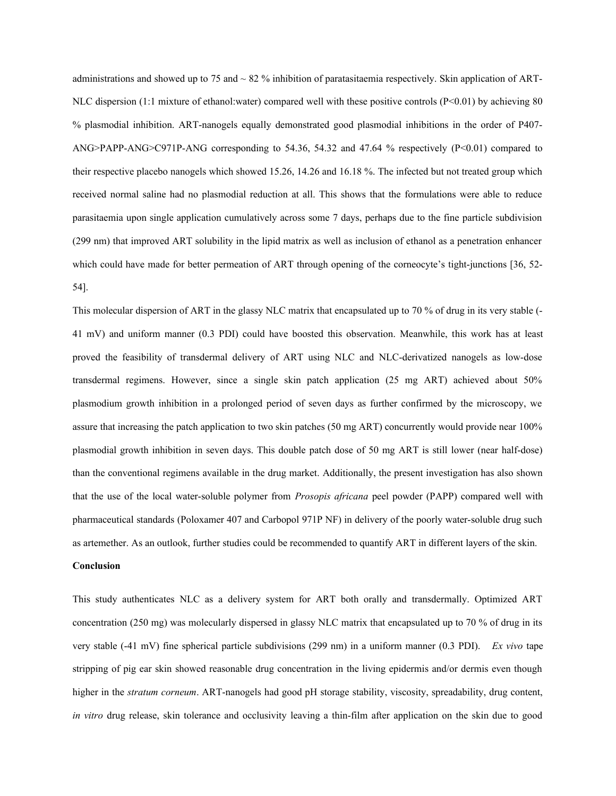administrations and showed up to 75 and  $\sim$  82 % inhibition of paratasitaemia respectively. Skin application of ART-NLC dispersion (1:1 mixture of ethanol:water) compared well with these positive controls (P<0.01) by achieving 80 % plasmodial inhibition. ART-nanogels equally demonstrated good plasmodial inhibitions in the order of P407- ANG>PAPP-ANG>C971P-ANG corresponding to 54.36, 54.32 and 47.64 % respectively (P<0.01) compared to their respective placebo nanogels which showed 15.26, 14.26 and 16.18 %. The infected but not treated group which received normal saline had no plasmodial reduction at all. This shows that the formulations were able to reduce parasitaemia upon single application cumulatively across some 7 days, perhaps due to the fine particle subdivision (299 nm) that improved ART solubility in the lipid matrix as well as inclusion of ethanol as a penetration enhancer which could have made for better permeation of ART through opening of the corneocyte's tight-junctions [36, 52-54].

This molecular dispersion of ART in the glassy NLC matrix that encapsulated up to 70 % of drug in its very stable (- 41 mV) and uniform manner (0.3 PDI) could have boosted this observation. Meanwhile, this work has at least proved the feasibility of transdermal delivery of ART using NLC and NLC-derivatized nanogels as low-dose transdermal regimens. However, since a single skin patch application (25 mg ART) achieved about 50% plasmodium growth inhibition in a prolonged period of seven days as further confirmed by the microscopy, we assure that increasing the patch application to two skin patches (50 mg ART) concurrently would provide near 100% plasmodial growth inhibition in seven days. This double patch dose of 50 mg ART is still lower (near half-dose) than the conventional regimens available in the drug market. Additionally, the present investigation has also shown that the use of the local water-soluble polymer from *Prosopis africana* peel powder (PAPP) compared well with pharmaceutical standards (Poloxamer 407 and Carbopol 971P NF) in delivery of the poorly water-soluble drug such as artemether. As an outlook, further studies could be recommended to quantify ART in different layers of the skin. **Conclusion**

This study authenticates NLC as a delivery system for ART both orally and transdermally. Optimized ART concentration (250 mg) was molecularly dispersed in glassy NLC matrix that encapsulated up to 70 % of drug in its very stable (-41 mV) fine spherical particle subdivisions (299 nm) in a uniform manner (0.3 PDI). *Ex vivo* tape stripping of pig ear skin showed reasonable drug concentration in the living epidermis and/or dermis even though higher in the *stratum corneum*. ART-nanogels had good pH storage stability, viscosity, spreadability, drug content, *in vitro* drug release, skin tolerance and occlusivity leaving a thin-film after application on the skin due to good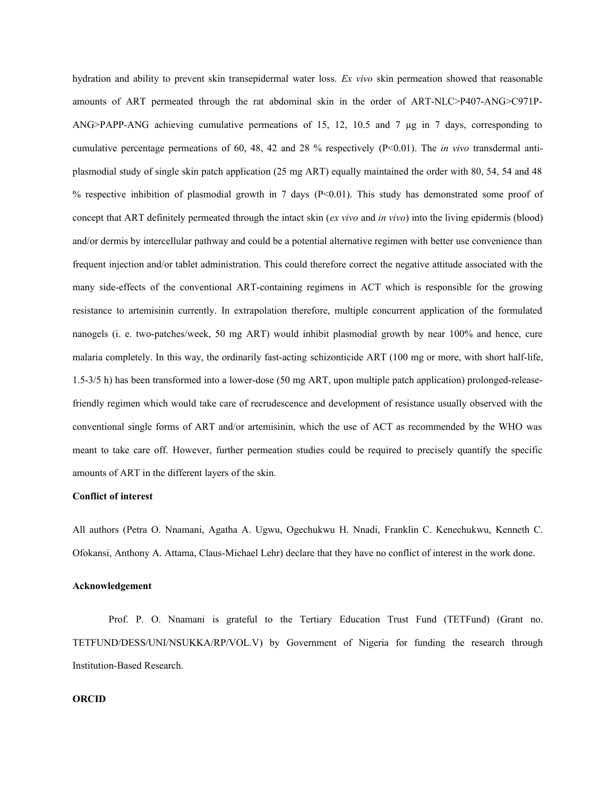hydration and ability to prevent skin transepidermal water loss. *Ex vivo* skin permeation showed that reasonable amounts of ART permeated through the rat abdominal skin in the order of ART-NLC>P407-ANG>C971P-ANG>PAPP-ANG achieving cumulative permeations of 15, 12, 10.5 and 7 µg in 7 days, corresponding to cumulative percentage permeations of 60, 48, 42 and 28 % respectively (P<0.01). The *in vivo* transdermal antiplasmodial study of single skin patch application (25 mg ART) equally maintained the order with 80, 54, 54 and 48 % respective inhibition of plasmodial growth in 7 days (P<0.01). This study has demonstrated some proof of concept that ART definitely permeated through the intact skin (*ex vivo* and *in vivo*) into the living epidermis (blood) and/or dermis by intercellular pathway and could be a potential alternative regimen with better use convenience than frequent injection and/or tablet administration. This could therefore correct the negative attitude associated with the many side-effects of the conventional ART-containing regimens in ACT which is responsible for the growing resistance to artemisinin currently. In extrapolation therefore, multiple concurrent application of the formulated nanogels (i. e. two-patches/week, 50 mg ART) would inhibit plasmodial growth by near 100% and hence, cure malaria completely. In this way, the ordinarily fast-acting schizonticide ART (100 mg or more, with short half-life, 1.5-3/5 h) has been transformed into a lower-dose (50 mg ART, upon multiple patch application) prolonged-releasefriendly regimen which would take care of recrudescence and development of resistance usually observed with the conventional single forms of ART and/or artemisinin, which the use of ACT as recommended by the WHO was meant to take care off. However, further permeation studies could be required to precisely quantify the specific amounts of ART in the different layers of the skin.

# **Conflict of interest**

All authors (Petra O. Nnamani, Agatha A. Ugwu, Ogechukwu H. Nnadi, Franklin C. Kenechukwu, Kenneth C. Ofokansi, Anthony A. Attama, Claus-Michael Lehr) declare that they have no conflict of interest in the work done.

## **Acknowledgement**

Prof. P. O. Nnamani is grateful to the Tertiary Education Trust Fund (TETFund) (Grant no. TETFUND/DESS/UNI/NSUKKA/RP/VOL.V) by Government of Nigeria for funding the research through Institution-Based Research.

# **ORCID**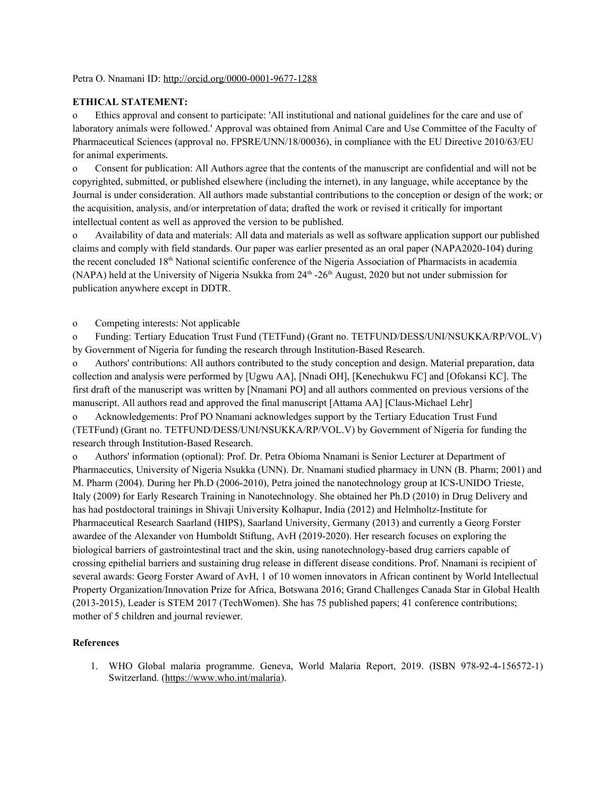### Petra O. Nnamani ID:<http://orcid.org/0000-0001-9677-1288>

## **ETHICAL STATEMENT:**

o Ethics approval and consent to participate: 'All institutional and national guidelines for the care and use of laboratory animals were followed.' Approval was obtained from Animal Care and Use Committee of the Faculty of Pharmaceutical Sciences (approval no. FPSRE/UNN/18/00036), in compliance with the EU Directive 2010/63/EU for animal experiments.

o Consent for publication: All Authors agree that the contents of the manuscript are confidential and will not be copyrighted, submitted, or published elsewhere (including the internet), in any language, while acceptance by the Journal is under consideration. All authors made substantial contributions to the conception or design of the work; or the acquisition, analysis, and/or interpretation of data; drafted the work or revised it critically for important intellectual content as well as approved the version to be published.

o Availability of data and materials: All data and materials as well as software application support our published claims and comply with field standards. Our paper was earlier presented as an oral paper (NAPA2020-104) during the recent concluded 18<sup>th</sup> National scientific conference of the Nigeria Association of Pharmacists in academia (NAPA) held at the University of Nigeria Nsukka from  $24<sup>th</sup>$  -26<sup>th</sup> August, 2020 but not under submission for publication anywhere except in DDTR.

o Competing interests: Not applicable

o Funding: Tertiary Education Trust Fund (TETFund) (Grant no. TETFUND/DESS/UNI/NSUKKA/RP/VOL.V) by Government of Nigeria for funding the research through Institution-Based Research.

o Authors' contributions: All authors contributed to the study conception and design. Material preparation, data collection and analysis were performed by [Ugwu AA], [Nnadi OH], [Kenechukwu FC] and [Ofokansi KC]. The first draft of the manuscript was written by [Nnamani PO] and all authors commented on previous versions of the manuscript. All authors read and approved the final manuscript [Attama AA] [Claus-Michael Lehr]

o Acknowledgements: Prof PO Nnamani acknowledges support by the Tertiary Education Trust Fund (TETFund) (Grant no. TETFUND/DESS/UNI/NSUKKA/RP/VOL.V) by Government of Nigeria for funding the research through Institution-Based Research.

o Authors' information (optional): Prof. Dr. Petra Obioma Nnamani is Senior Lecturer at Department of Pharmaceutics, University of Nigeria Nsukka (UNN). Dr. Nnamani studied pharmacy in UNN (B. Pharm; 2001) and M. Pharm (2004). During her Ph.D (2006-2010), Petra joined the nanotechnology group at ICS-UNIDO Trieste, Italy (2009) for Early Research Training in Nanotechnology. She obtained her Ph.D (2010) in Drug Delivery and has had postdoctoral trainings in Shivaji University Kolhapur, India (2012) and Helmholtz-Institute for Pharmaceutical Research Saarland (HIPS), Saarland University, Germany (2013) and currently a Georg Forster awardee of the Alexander von Humboldt Stiftung, AvH (2019-2020). Her research focuses on exploring the biological barriers of gastrointestinal tract and the skin, using nanotechnology-based drug carriers capable of crossing epithelial barriers and sustaining drug release in different disease conditions. Prof. Nnamani is recipient of several awards: Georg Forster Award of AvH, 1 of 10 women innovators in African continent by World Intellectual Property Organization/Innovation Prize for Africa, Botswana 2016; Grand Challenges Canada Star in Global Health (2013-2015), Leader is STEM 2017 (TechWomen). She has 75 published papers; 41 conference contributions; mother of 5 children and journal reviewer.

# **References**

1. WHO Global malaria programme. Geneva, World Malaria Report, 2019. (ISBN 978-92-4-156572-1) Switzerland. [\(https://www.who.int/malaria](https://www.who.int/malaria)).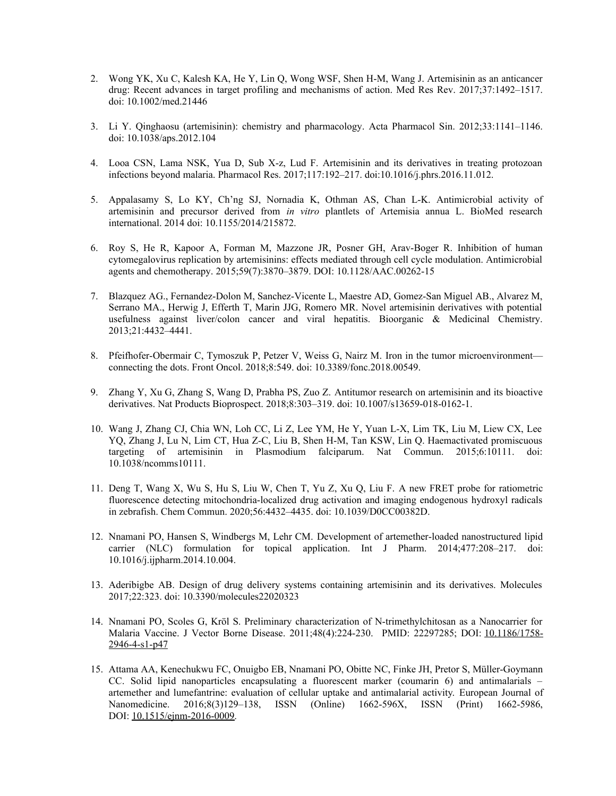- 2. Wong YK, Xu C, Kalesh KA, He Y, Lin Q, Wong WSF, Shen H-M, Wang J. Artemisinin as an anticancer drug: Recent advances in target profiling and mechanisms of action. Med Res Rev. 2017;37:1492–1517. doi: 10.1002/med.21446
- 3. Li Y. Qinghaosu (artemisinin): chemistry and pharmacology. Acta Pharmacol Sin. 2012;33:1141–1146. doi: 10.1038/aps.2012.104
- 4. Looa CSN, Lama NSK, Yua D, Sub X-z, Lud F. Artemisinin and its derivatives in treating protozoan infections beyond malaria. Pharmacol Res. 2017;117:192–217. doi:10.1016/j.phrs.2016.11.012.
- 5. Appalasamy S, Lo KY, Ch'ng SJ, Nornadia K, Othman AS, Chan L-K. Antimicrobial activity of artemisinin and precursor derived from *in vitro* plantlets of Artemisia annua L. BioMed research international. 2014 doi: 10.1155/2014/215872.
- 6. Roy S, He R, Kapoor A, Forman M, Mazzone JR, Posner GH, Arav-Boger R. Inhibition of human cytomegalovirus replication by artemisinins: effects mediated through cell cycle modulation. Antimicrobial agents and chemotherapy. 2015;59(7):3870–3879. DOI: 10.1128/AAC.00262-15
- 7. Blazquez AG., Fernandez-Dolon M, Sanchez-Vicente L, Maestre AD, Gomez-San Miguel AB., Alvarez M, Serrano MA., Herwig J, Efferth T, Marin JJG, Romero MR. Novel artemisinin derivatives with potential usefulness against liver/colon cancer and viral hepatitis. Bioorganic & Medicinal Chemistry. 2013;21:4432–4441.
- 8. Pfeifhofer-Obermair C, Tymoszuk P, Petzer V, Weiss G, Nairz M. Iron in the tumor microenvironment connecting the dots. Front Oncol. 2018;8:549. doi: 10.3389/fonc.2018.00549.
- 9. Zhang Y, Xu G, Zhang S, Wang D, Prabha PS, Zuo Z. Antitumor research on artemisinin and its bioactive derivatives. Nat Products Bioprospect. 2018;8:303–319. doi: 10.1007/s13659-018-0162-1.
- 10. Wang J, Zhang CJ, Chia WN, Loh CC, Li Z, Lee YM, He Y, Yuan L-X, Lim TK, Liu M, Liew CX, Lee YQ, Zhang J, Lu N, Lim CT, Hua Z-C, Liu B, Shen H-M, Tan KSW, Lin Q. Haemactivated promiscuous targeting of artemisinin in Plasmodium falciparum. Nat Commun. 2015;6:10111. doi: 10.1038/ncomms10111.
- 11. Deng T, Wang X, Wu S, Hu S, Liu W, Chen T, Yu Z, Xu Q, Liu F. A new FRET probe for ratiometric fluorescence detecting mitochondria-localized drug activation and imaging endogenous hydroxyl radicals in zebrafish. Chem Commun. 2020;56:4432–4435. doi: 10.1039/D0CC00382D.
- 12. Nnamani PO, Hansen S, Windbergs M, Lehr CM. Development of artemether-loaded nanostructured lipid carrier (NLC) formulation for topical application. Int J Pharm. 2014;477:208–217. doi: 10.1016/j.ijpharm.2014.10.004.
- 13. Aderibigbe AB. Design of drug delivery systems containing artemisinin and its derivatives. Molecules 2017;22:323. doi: 10.3390/molecules22020323
- 14. Nnamani PO, Scoles G, Kröl S. Preliminary characterization of N-trimethylchitosan as a Nanocarrier for Malaria Vaccine. J Vector Borne Disease. 2011;48(4):224-230. PMID: 22297285; DOI: [10.1186/1758-](https://doi.org/10.1186/1758-2946-4-s1-p47) [2946-4-s1-p47](https://doi.org/10.1186/1758-2946-4-s1-p47)
- 15. Attama AA, Kenechukwu FC, Onuigbo EB, Nnamani PO, Obitte NC, Finke JH, Pretor S, Müller-Goymann CC. Solid lipid nanoparticles encapsulating a fluorescent marker (coumarin 6) and antimalarials – artemether and lumefantrine: evaluation of cellular uptake and antimalarial activity. European Journal of Nanomedicine. 2016;8(3)129–138, ISSN (Online) 1662-596X, ISSN (Print) 1662-5986, DOI: [10.1515/ejnm-2016-0009](http://dx.doi.org/10.1515/ejnm-2016-0009).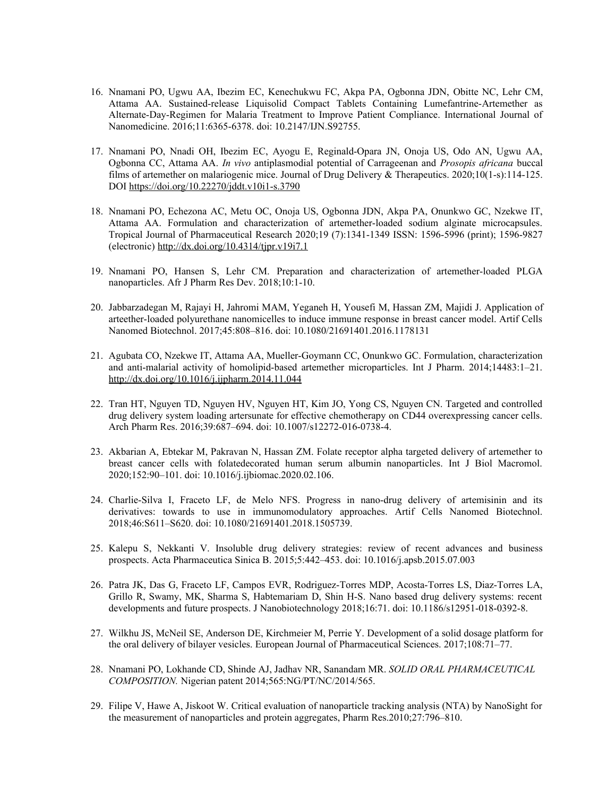- 16. Nnamani PO, Ugwu AA, Ibezim EC, Kenechukwu FC, Akpa PA, Ogbonna JDN, Obitte NC, Lehr CM, Attama AA. Sustained-release Liquisolid Compact Tablets Containing Lumefantrine-Artemether as Alternate-Day-Regimen for Malaria Treatment to Improve Patient Compliance. International Journal of Nanomedicine. 2016;11:6365-6378. doi: 10.2147/IJN.S92755.
- 17. Nnamani PO, Nnadi OH, Ibezim EC, Ayogu E, Reginald-Opara JN, Onoja US, Odo AN, Ugwu AA, Ogbonna CC, Attama AA. *In vivo* antiplasmodial potential of Carrageenan and *Prosopis africana* buccal films of artemether on malariogenic mice. Journal of Drug Delivery & Therapeutics. 2020;10(1-s):114-125. DOI <https://doi.org/10.22270/jddt.v10i1-s.3790>
- 18. Nnamani PO, Echezona AC, Metu OC, Onoja US, Ogbonna JDN, Akpa PA, Onunkwo GC, Nzekwe IT, Attama AA. Formulation and characterization of artemether-loaded sodium alginate microcapsules. Tropical Journal of Pharmaceutical Research 2020;19 (7):1341-1349 ISSN: 1596-5996 (print); 1596-9827 (electronic) <http://dx.doi.org/10.4314/tjpr.v19i7.1>
- 19. Nnamani PO, Hansen S, Lehr CM. Preparation and characterization of artemether-loaded PLGA nanoparticles. Afr J Pharm Res Dev. 2018;10:1-10.
- 20. Jabbarzadegan M, Rajayi H, Jahromi MAM, Yeganeh H, Yousefi M, Hassan ZM, Majidi J. Application of arteether-loaded polyurethane nanomicelles to induce immune response in breast cancer model. Artif Cells Nanomed Biotechnol. 2017;45:808–816. doi: 10.1080/21691401.2016.1178131
- 21. Agubata CO, Nzekwe IT, Attama AA, Mueller-Goymann CC, Onunkwo GC. Formulation, characterization and anti-malarial activity of homolipid-based artemether microparticles. Int J Pharm. 2014;14483:1–21. <http://dx.doi.org/10.1016/j.ijpharm.2014.11.044>
- 22. Tran HT, Nguyen TD, Nguyen HV, Nguyen HT, Kim JO, Yong CS, Nguyen CN. Targeted and controlled drug delivery system loading artersunate for effective chemotherapy on CD44 overexpressing cancer cells. Arch Pharm Res. 2016;39:687–694. doi: 10.1007/s12272-016-0738-4.
- 23. Akbarian A, Ebtekar M, Pakravan N, Hassan ZM. Folate receptor alpha targeted delivery of artemether to breast cancer cells with folatedecorated human serum albumin nanoparticles. Int J Biol Macromol. 2020;152:90–101. doi: 10.1016/j.ijbiomac.2020.02.106.
- 24. Charlie-Silva I, Fraceto LF, de Melo NFS. Progress in nano-drug delivery of artemisinin and its derivatives: towards to use in immunomodulatory approaches. Artif Cells Nanomed Biotechnol. 2018;46:S611–S620. doi: 10.1080/21691401.2018.1505739.
- 25. Kalepu S, Nekkanti V. Insoluble drug delivery strategies: review of recent advances and business prospects. Acta Pharmaceutica Sinica B. 2015;5:442–453. doi: 10.1016/j.apsb.2015.07.003
- 26. Patra JK, Das G, Fraceto LF, Campos EVR, Rodriguez-Torres MDP, Acosta-Torres LS, Diaz-Torres LA, Grillo R, Swamy, MK, Sharma S, Habtemariam D, Shin H-S. Nano based drug delivery systems: recent developments and future prospects. J Nanobiotechnology 2018;16:71. doi: 10.1186/s12951-018-0392-8.
- 27. Wilkhu JS, McNeil SE, Anderson DE, Kirchmeier M, Perrie Y. Development of a solid dosage platform for the oral delivery of bilayer vesicles. European Journal of Pharmaceutical Sciences. 2017;108:71–77.
- 28. Nnamani PO, Lokhande CD, Shinde AJ, Jadhav NR, Sanandam MR. *SOLID ORAL PHARMACEUTICAL COMPOSITION.* Nigerian patent 2014;565:NG/PT/NC/2014/565.
- 29. Filipe V, Hawe A, Jiskoot W. Critical evaluation of nanoparticle tracking analysis (NTA) by NanoSight for the measurement of nanoparticles and protein aggregates, Pharm Res.2010;27:796–810.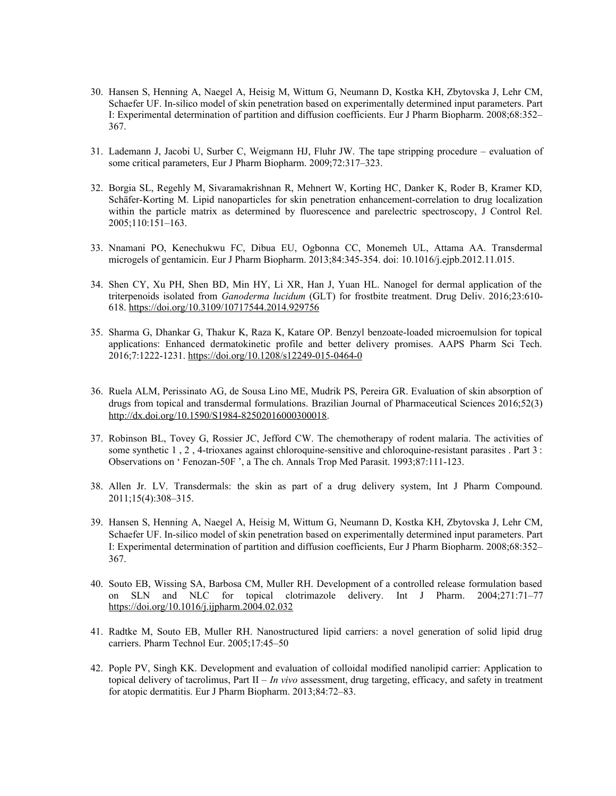- 30. Hansen S, Henning A, Naegel A, Heisig M, Wittum G, Neumann D, Kostka KH, Zbytovska J, Lehr CM, Schaefer UF. In-silico model of skin penetration based on experimentally determined input parameters. Part I: Experimental determination of partition and diffusion coefficients. Eur J Pharm Biopharm. 2008;68:352– 367.
- 31. Lademann J, Jacobi U, Surber C, Weigmann HJ, Fluhr JW. The tape stripping procedure evaluation of some critical parameters, Eur J Pharm Biopharm. 2009;72:317–323.
- 32. Borgia SL, Regehly M, Sivaramakrishnan R, Mehnert W, Korting HC, Danker K, Roder B, Kramer KD, Schäfer-Korting M. Lipid nanoparticles for skin penetration enhancement-correlation to drug localization within the particle matrix as determined by fluorescence and parelectric spectroscopy, J Control Rel. 2005;110:151–163.
- 33. Nnamani PO, Kenechukwu FC, Dibua EU, Ogbonna CC, Monemeh UL, Attama AA. Transdermal microgels of gentamicin. Eur J Pharm Biopharm. 2013;84:345-354. doi: 10.1016/j.ejpb.2012.11.015.
- 34. Shen CY, Xu PH, Shen BD, Min HY, Li XR, Han J, Yuan HL. Nanogel for dermal application of the triterpenoids isolated from *Ganoderma lucidum* (GLT) for frostbite treatment. Drug Deliv. 2016;23:610- 618.<https://doi.org/10.3109/10717544.2014.929756>
- 35. Sharma G, Dhankar G, Thakur K, Raza K, Katare OP. Benzyl benzoate-loaded microemulsion for topical applications: Enhanced dermatokinetic profile and better delivery promises. AAPS Pharm Sci Tech. 2016;7:1222-1231. <https://doi.org/10.1208/s12249-015-0464-0>
- 36. Ruela ALM, Perissinato AG, de Sousa Lino ME, Mudrik PS, Pereira GR. Evaluation of skin absorption of drugs from topical and transdermal formulations. Brazilian Journal of Pharmaceutical Sciences 2016;52(3) <http://dx.doi.org/10.1590/S1984-82502016000300018>.
- 37. Robinson BL, Tovey G, Rossier JC, Jefford CW. The chemotherapy of rodent malaria. The activities of some synthetic 1 , 2 , 4-trioxanes against chloroquine-sensitive and chloroquine-resistant parasites . Part 3 : Observations on ' Fenozan-50F ', a The ch. Annals Trop Med Parasit. 1993;87:111-123.
- 38. Allen Jr. LV. Transdermals: the skin as part of a drug delivery system, Int J Pharm Compound. 2011;15(4):308–315.
- 39. Hansen S, Henning A, Naegel A, Heisig M, Wittum G, Neumann D, Kostka KH, Zbytovska J, Lehr CM, Schaefer UF. In-silico model of skin penetration based on experimentally determined input parameters. Part I: Experimental determination of partition and diffusion coefficients, Eur J Pharm Biopharm. 2008;68:352– 367.
- 40. Souto EB, Wissing SA, Barbosa CM, Muller RH. Development of a controlled release formulation based on SLN and NLC for topical clotrimazole delivery. Int J Pharm. 2004;271:71–77 <https://doi.org/10.1016/j.ijpharm.2004.02.032>
- 41. Radtke M, Souto EB, Muller RH. Nanostructured lipid carriers: a novel generation of solid lipid drug carriers. Pharm Technol Eur. 2005;17:45–50
- 42. Pople PV, Singh KK. Development and evaluation of colloidal modified nanolipid carrier: Application to topical delivery of tacrolimus, Part II – *In vivo* assessment, drug targeting, efficacy, and safety in treatment for atopic dermatitis. Eur J Pharm Biopharm. 2013;84:72–83.